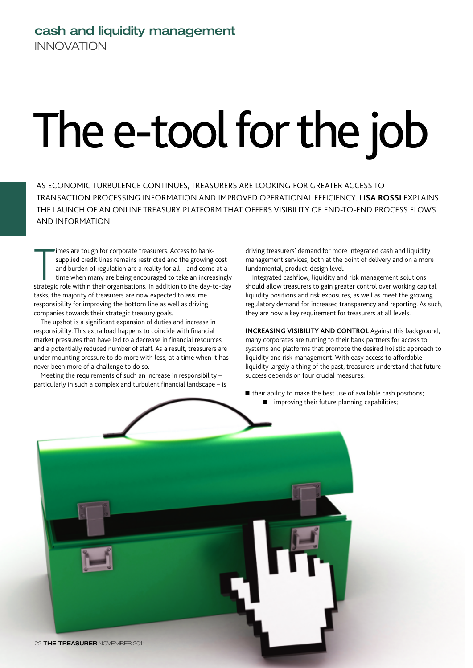## **cash and liquidity management** INNOVATION

## The e-tool for the job

AS ECONOMIC TURBULENCE CONTINUES, TREASURERS ARE LOOKING FOR GREATER ACCESS TO TRANSACTION PROCESSING INFORMATION AND IMPROVED OPERATIONAL EFFICIENCY. **LISA ROSSI** EXPLAINS THE LAUNCH OF AN ONLINE TREASURY PLATFORM THAT OFFERS VISIBILITY OF END-TO-END PROCESS FLOWS AND INFORMATION.

imes are tough for corporate treasurers. Access to bank-<br>supplied credit lines remains restricted and the growing cost<br>and burden of regulation are a reality for all – and come at a<br>time when many are being encouraged to t imes are tough for corporate treasurers. Access to banksupplied credit lines remains restricted and the growing cost and burden of regulation are a reality for all – and come at a time when many are being encouraged to take an increasingly tasks, the majority of treasurers are now expected to assume responsibility for improving the bottom line as well as driving companies towards their strategic treasury goals.

The upshot is a significant expansion of duties and increase in responsibility. This extra load happens to coincide with financial market pressures that have led to a decrease in financial resources and a potentially reduced number of staff. As a result, treasurers are under mounting pressure to do more with less, at a time when it has never been more of a challenge to do so.

Meeting the requirements of such an increase in responsibility – particularly in such a complex and turbulent financial landscape – is driving treasurers' demand for more integrated cash and liquidity management services, both at the point of delivery and on a more fundamental, product-design level.

Integrated cashflow, liquidity and risk management solutions should allow treasurers to gain greater control over working capital, liquidity positions and risk exposures, as well as meet the growing regulatory demand for increased transparency and reporting. As such, they are now a key requirement for treasurers at all levels.

**INCREASING VISIBILITY AND CONTROL Against this background,** many corporates are turning to their bank partners for access to systems and platforms that promote the desired holistic approach to liquidity and risk management. With easy access to affordable liquidity largely a thing of the past, treasurers understand that future success depends on four crucial measures:

 $\blacksquare$  their ability to make the best use of available cash positions; **n** improving their future planning capabilities;